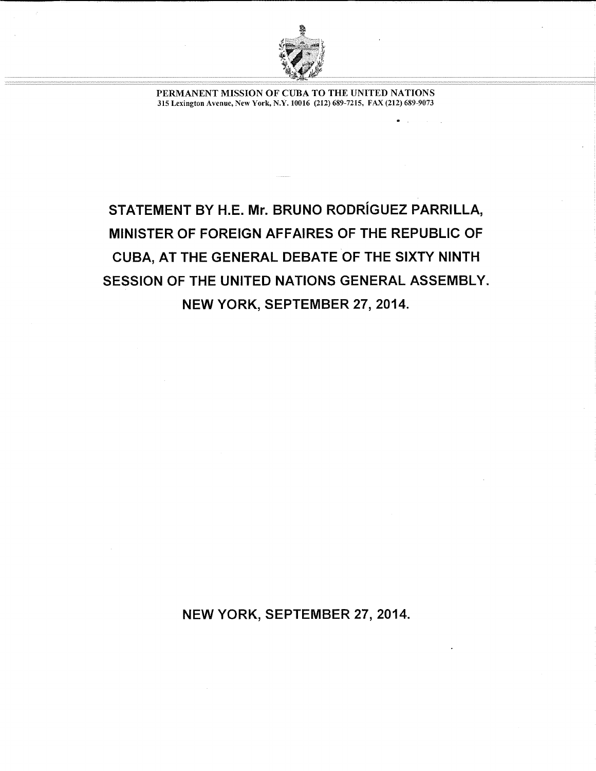

PERMANENT MISSION OF CUBA TO THE UNITED NATIONS 315 Lexington Avenue, New York, N.Y. 10016 (212) 689-7215, FAX (212) 689-9073

## STATEMENT BY H.E. Mr. BRUNO RODRiGUEZ PARRILLA, MINISTER OF FOREIGN AFFAIRES OF THE REPUBLIC OF CUBA, AT THE GENERAL DEBATE OF THE SIXTY NINTH SESSION OF THE UNITED NATIONS GENERAL ASSEMBLY. NEW YORK, SEPTEMBER 27, 2014.

## NEW YORK, SEPTEMBER 27, 2014.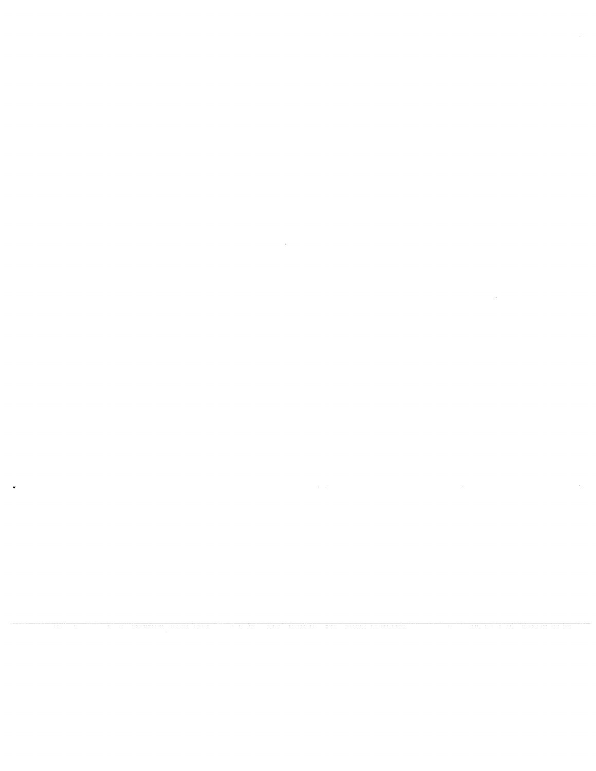$\label{eq:2.1} \frac{1}{\sqrt{2}}\int_{\mathbb{R}^3}\frac{1}{\sqrt{2}}\left(\frac{1}{\sqrt{2}}\right)^2\frac{1}{\sqrt{2}}\left(\frac{1}{\sqrt{2}}\right)^2\frac{1}{\sqrt{2}}\left(\frac{1}{\sqrt{2}}\right)^2\frac{1}{\sqrt{2}}\left(\frac{1}{\sqrt{2}}\right)^2\frac{1}{\sqrt{2}}\left(\frac{1}{\sqrt{2}}\right)^2\frac{1}{\sqrt{2}}\frac{1}{\sqrt{2}}\frac{1}{\sqrt{2}}\frac{1}{\sqrt{2}}\frac{1}{\sqrt{2}}\frac{1}{\sqrt{2}}$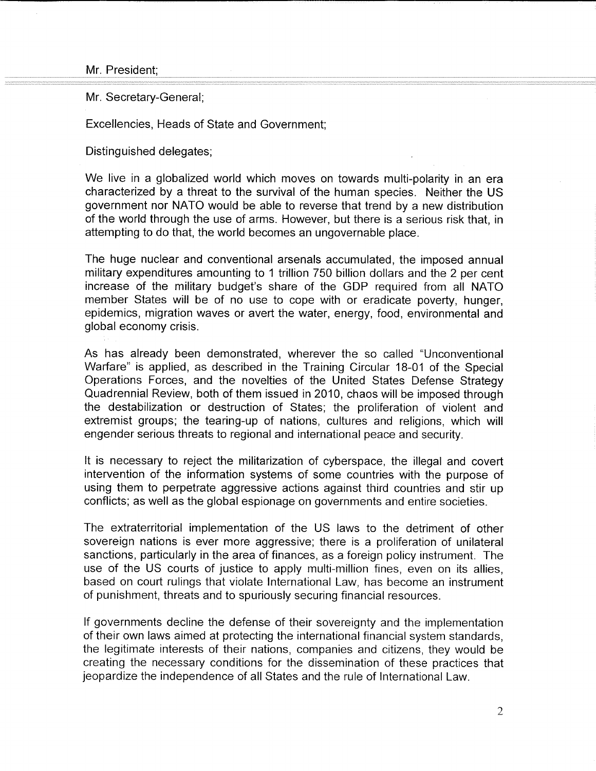Mr. President;

Mr. Secretary-General;

Excellencies, Heads of State and Government;

Distinguished delegates;

We live in a globalized world which moves on towards multi-polarity in an era characterized by a threat to the survival of the human species. Neither the US government nor NATO would be able to reverse that trend by a new distribution of the world through the use of arms. However, but there is a serious risk that, in attempting to do that, the world becomes an ungovernable place.

The huge nuclear and conventional arsenals accumulated, the imposed annual military expenditures amounting to 1 trillion 750 billion dollars and the 2 per cent increase of the military budget's share of the GDP required from all NATO member States will be of no use to cope with or eradicate poverty, hunger, epidemics, migration waves or avert the water, energy, food, environmental and global economy crisis.

As has already been demonstrated, wherever the so called "Unconventional Warfare" is applied, as described in the Training Circular 18-01 of the Special Operations Forces, and the novelties of the United States Defense Strategy Quadrennial Review, both of them issued in 2010, chaos will be imposed through the destabilization or destruction of States; the proliferation of violent and extremist groups; the tearing-up of nations, cultures and religions, which will engender serious threats to regional and international peace and security.

It is necessary to reject the militarization of cyberspace, the illegal and covert intervention of the information systems of some countries with the purpose of using them to perpetrate aggressive actions against third countries and stir up conflicts; as well as the global espionage on governments and entire societies.

The extraterritorial implementation of the US laws to the detriment of other sovereign nations is ever more aggressive; there is a proliferation of unilateral sanctions, particularly in the area of finances, as a foreign policy instrument. The use of the US courts of justice to apply multi-million fines, even on its allies, based on court rulings that violate International Law, has become an instrument of punishment, threats and to spuriously securing financial resources.

If governments decline the defense of their sovereignty and the implementation of their own laws aimed at protecting the international financial system standards, the legitimate interests of their nations, companies and citizens, they would be creating the necessary conditions for the dissemination of these practices that jeopardize the independence of all States and the rule of International Law.

....... ................. i .......................................................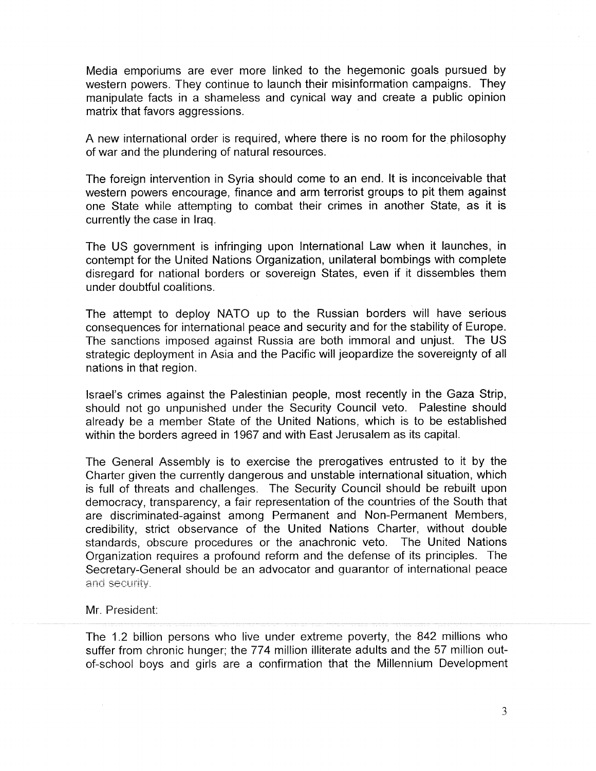Media emporiums are ever more linked to the hegemonic goals pursued by western powers. They continue to launch their misinformation campaigns. They manipulate facts in a shameless and cynical way and create a public opinion matrix that favors aggressions.

A new international order is required, where there is no room for the philosophy of war and the plundering of natural resources.

The foreign intervention in Syria should come to an end. It is inconceivable that western powers encourage, finance and arm terrorist groups to pit them against one State while attempting to combat their crimes in another State, as it is currently the case in Iraq.

The US government is infringing upon International Law when it launches, in contempt for the United Nations Organization, unilateral bombings with complete disregard for national borders or sovereign States, even if it dissembles them under doubtful coalitions.

The attempt to deploy NATO up to the Russian borders will have serious consequences for international peace and security and for the stability of Europe. The sanctions imposed against Russia are both immoral and unjust. The US strategic deployment in Asia and the Pacific will jeopardize the sovereignty of all nations in that region.

Israel's crimes against the Palestinian people, most recently in the Gaza Strip, should not go unpunished under the Security Council veto. Palestine should already be a member State of the United Nations, which is to be established within the borders agreed in 1967 and with East Jerusalem as its capital.

The General Assembly is to exercise the prerogatives entrusted to it by the Charter given the currently dangerous and unstable international situation, which is full of threats and challenges. The Security Council should be rebuilt upon democracy, transparency, a fair representation of the countries of the South that are discriminated-against among Permanent and Non-Permanent Members, credibility, strict observance of the United Nations Charter, without double standards, obscure procedures or the anachronic veto. The United Nations Organization requires a profound reform and the defense of its principles. The Secretary-General should be an advocator and guarantor of international peace and security.

## Mr. President:

The 1.2 billion persons who live under extreme poverty, the 842 millions who suffer from chronic hunger; the 774 million illiterate adults and the 57 million outof-school boys and girls are a confirmation that the Millennium Development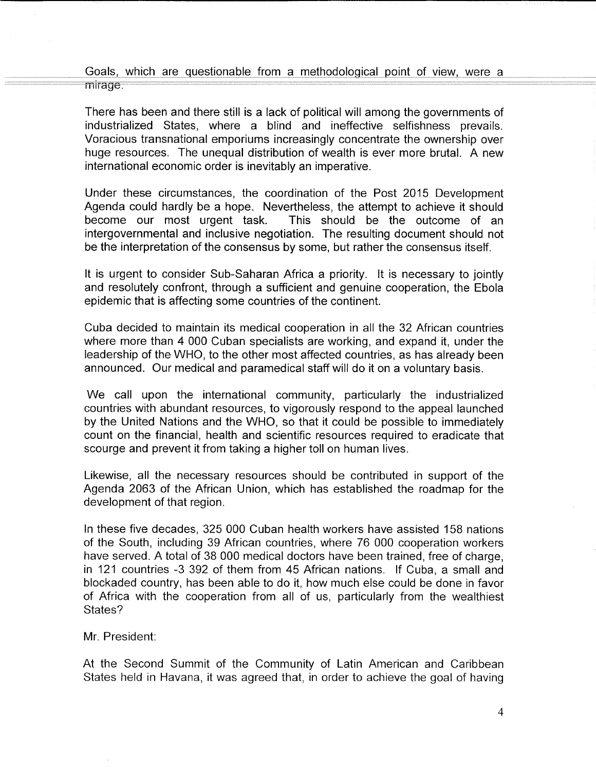Goals, which are questionable from a methodological point of view, were a mirage.

There has been and there still is a lack of political will among the governments of industrialized States, where a blind and ineffective selfishness prevails. Voracious transnational emporiums increasingly concentrate the ownership over huge resources. The unequal distribution of wealth is ever more brutal. A new international economic order is inevitably an imperative.

Under these circumstances, the coordination of the Post 2015 Development Agenda could hardly be a hope. Nevertheless, the attempt to achieve it should become our most urgent task. This should be the outcome of an intergovernmental and inclusive negotiation. The resulting document should not be the interpretation of the consensus by some, but rather the consensus itself.

It is urgent to consider Sub-Saharan Africa a priority. It is necessary to jointly and resolutely confront, through a sufficient and genuine cooperation, the Ebola epidemic that is affecting some countries of the continent.

Cuba decided to maintain its medical cooperation in all the 32 African countries where more than 4 000 Cuban specialists are working, and expand it, under the leadership of the WHO, to the other most affected countries, as has already been announced. Our medical and paramedical staff will do it on a voluntary basis.

We call upon the international community, particularly the industrialized countries with abundant resources, to vigorously respond to the appeal launched by the United Nations and the WHO, so that it could be possible to immediately count on the financial, health and scientific resources required to eradicate that scourge and prevent it from taking a higher toll on human lives.

Likewise, all the necessary resources should be contributed in support of the Agenda 2063 of the African Union, which has established the roadmap for the development of that region.

In these five decades, 325 000 Cuban health workers have assisted 158 nations of the South, including 39 African countries, where 76 000 cooperation workers have served. A total of 38 000 medical doctors have been trained, free of charge, in 121 countries -3 392 of them from 45 African nations. If Cuba, a small and blockaded country, has been able to do it, how much else could be done in favor of Africa with the cooperation from all of us, particularly from the wealthiest States?

Mr. President:

At the Second Summit of the Community of Latin American and Caribbean States held in Havana, it was agreed that, in order to achieve the goal of having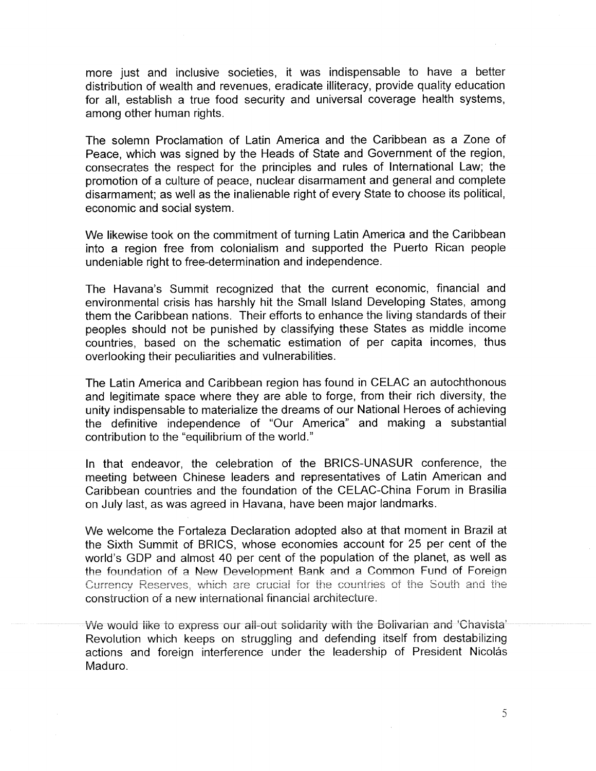more just and inclusive societies, it was indispensable to have a better distribution of wealth and revenues, eradicate illiteracy, provide quality education for all, establish a true food security and universal coverage health systems, among other human rights.

The solemn Proclamation of Latin America and the Caribbean as a Zone of Peace, which was signed by the Heads of State and Government of the region, consecrates the respect for the principles and rules of International Law; the promotion of a culture of peace, nuclear disarmament and general and complete disarmament; as well as the inalienable right of every State to choose its political, economic and social system.

We likewise took on the commitment of turning Latin America and the Caribbean into a region free from colonialism and supported the Puerto Rican people undeniable right to free-determination and independence.

The Havana's Summit recognized that the current economic, financial and environmental crisis has harshly hit the Small Island Developing States, among them the Caribbean nations. Their efforts to enhance the living standards of their peoples should not be punished by classifying these States as middle income countries, based on the schematic estimation of per capita incomes, thus overlooking their peculiarities and vulnerabilities.

The Latin America and Caribbean region has found in CELAC an autochthonous and legitimate space where they are able to forge, from their rich diversity, the unity indispensable to materialize the dreams of our National Heroes of achieving the definitive independence of "Our America" and making a substantial contribution to the "equilibrium of the world."

In that endeavor, the celebration of the BRICS-UNASUR conference, the meeting between Chinese leaders and representatives of Latin American and Caribbean countries and the foundation of the CELAC-China Forum in Brasilia on July last, as was agreed in Havana, have been major landmarks.

We welcome the Fortaleza Declaration adopted also at that moment in Brazil at the Sixth Summit of BRICS, whose economies account for 25 per cent of the world's GDP and almost 40 per cent of the population of the planet, as well as the foundation of a New Development Bank and a Common Fund of Foreign Currency Reserves, which are crucial for the countries of the South and the construction of a new international financial architecture.

We would like to express our all-out solidarity with the Bolivarian and 'Chavista' Revolution which keeps on struggling and defending itself from destabilizing actions and foreign interference under the leadership of President Nicolás Maduro.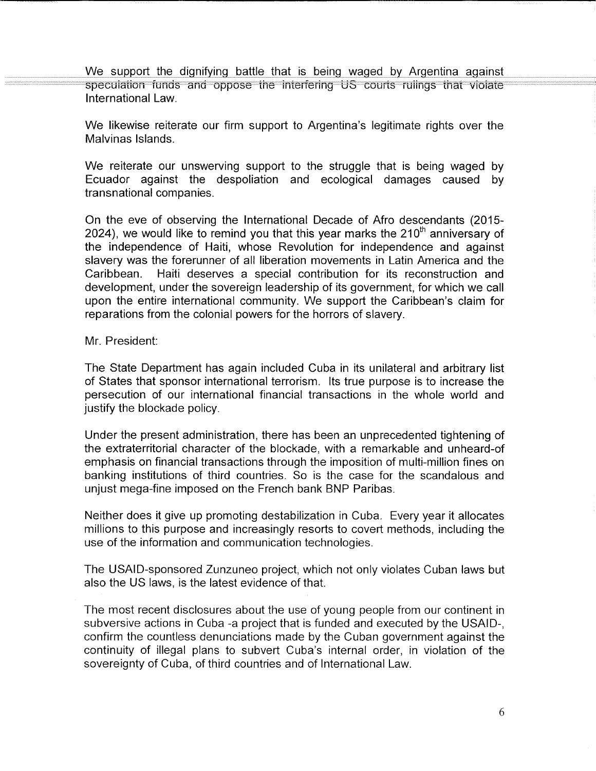We support the dignifying battle that is being waged by Argentina against speculation:-funds and oppose the interfering US courts ruiings that violate International Law.

We likewise reiterate our firm support to Argentina's legitimate rights over the Malvinas Islands.

We reiterate our unswerving support to the struggle that is being waged by Ecuador against the despoliation and ecological damages caused by transnational companies.

On the eve of observing the International Decade of Afro descendants (2015- 2024), we would like to remind you that this year marks the  $210<sup>th</sup>$  anniversary of the independence of Haiti, whose Revolution for independence and against slavery was the forerunner of all liberation movements in Latin America and the Caribbean. Haiti deserves a special contribution for its reconstruction and development, under the sovereign leadership of its government, for which we call upon the entire international community. We support the Caribbean's claim for reparations from the colonial powers for the horrors of slavery.

Mr. President:

The State Department has again included Cuba in its unilateral and arbitrary list of States that sponsor international terrorism. Its true purpose is to increase the persecution of our international financial transactions in the whole world and justify the blockade policy.

Under the present administration, there has been an unprecedented tightening of the extraterritorial character of the blockade, with a remarkable and unheard-of emphasis on financial transactions through the imposition of multi-million fines on banking institutions of third countries. So is the case for the scandalous and unjust mega-fine imposed on the French bank BNP Paribas.

Neither does it give up promoting destabilization in Cuba. Every year it allocates millions to this purpose and increasingly resorts to covert methods, including the use of the information and communication technologies.

The USAID-sponsored Zunzuneo project, which not only violates Cuban laws but also the US laws, is the latest evidence of that.

The most recent disclosures about the use of young people from our continent in subversive actions in Cuba -a project that is funded and executed by the USAID-, confirm the countless denunciations made by the Cuban government against the continuity of illegal plans to subvert Cuba's internal order, in violation of the sovereignty of Cuba, of third countries and of International Law.